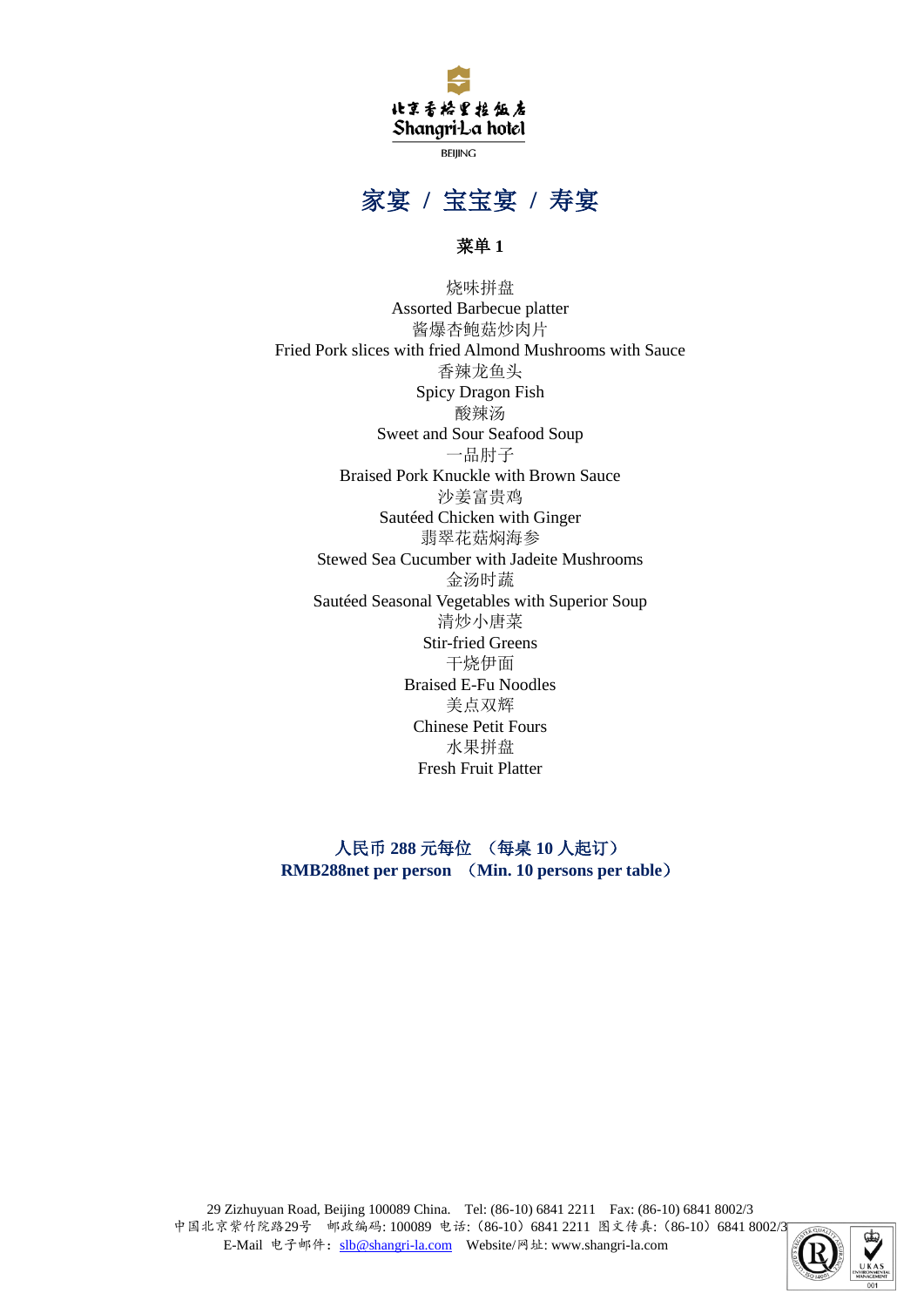

**BEIJING** 

## 家宴 **/** 宝宝宴 **/** 寿宴

## 菜单 **1**

烧味拼盘 Assorted Barbecue platter 酱爆杏鲍菇炒肉片 Fried Pork slices with fried Almond Mushrooms with Sauce 香辣龙鱼头 Spicy Dragon Fish 酸辣汤 Sweet and Sour Seafood Soup 一品肘子 Braised Pork Knuckle with Brown Sauce 沙姜富贵鸡 Sautéed Chicken with Ginger 翡翠花菇焖海参 Stewed Sea Cucumber with Jadeite Mushrooms 金汤时蔬 Sautéed Seasonal Vegetables with Superior Soup 清炒小唐菜 Stir-fried Greens 干烧伊面 Braised E-Fu Noodles 美点双辉 Chinese Petit Fours 水果拼盘 Fresh Fruit Platter

人民币 **288** 元每位 (每桌 **10** 人起订) **RMB288net per person** (**Min. 10 persons per table**)